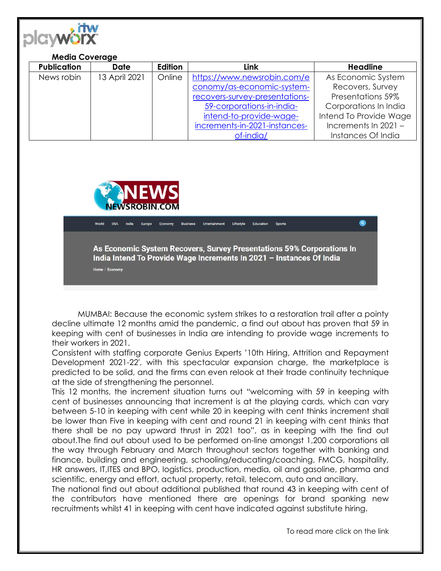

## **Media Coverage**

| <b>Publication</b> | <b>Date</b>   | Edition | Link                           | <b>Headline</b>        |
|--------------------|---------------|---------|--------------------------------|------------------------|
| News robin         | 13 April 2021 | Online  | https://www.newsrobin.com/e    | As Economic System     |
|                    |               |         | conomy/as-economic-system-     | Recovers, Survey       |
|                    |               |         | recovers-survey-presentations- | Presentations 59%      |
|                    |               |         | 59-corporations-in-india-      | Corporations In India  |
|                    |               |         | intend-to-provide-wage-        | Intend To Provide Wage |
|                    |               |         | increments-in-2021-instances-  | Increments In 2021 -   |
|                    |               |         | of-india/                      | Instances Of India     |



Economy Entertainment Lifestyle Education Sports As Economic System Recovers, Survey Presentations 59% Corporations In India Intend To Provide Wage Increments In 2021 - Instances Of India Home / Economy

MUMBAI: Because the economic system strikes to a restoration trail after a pointy decline ultimate 12 months amid the pandemic, a find out about has proven that 59 in keeping with cent of businesses in India are intending to provide wage increments to their workers in 2021.

Consistent with staffing corporate Genius Experts '10th Hiring, Attrition and Repayment Development 2021-22′, with this spectacular expansion charge, the marketplace is predicted to be solid, and the firms can even relook at their trade continuity technique at the side of strengthening the personnel.

This 12 months, the increment situation turns out "welcoming with 59 in keeping with cent of businesses announcing that increment is at the playing cards, which can vary between 5-10 in keeping with cent while 20 in keeping with cent thinks increment shall be lower than Five in keeping with cent and round 21 in keeping with cent thinks that there shall be no pay upward thrust in 2021 too", as in keeping with the find out about.The find out about used to be performed on-line amongst 1,200 corporations all the way through February and March throughout sectors together with banking and finance, building and engineering, schooling/educating/coaching, FMCG, hospitality, HR answers, IT,ITES and BPO, logistics, production, media, oil and gasoline, pharma and scientific, energy and effort, actual property, retail, telecom, auto and ancillary.

The national find out about additional published that round 43 in keeping with cent of the contributors have mentioned there are openings for brand spanking new recruitments whilst 41 in keeping with cent have indicated against substitute hiring.

To read more click on the link